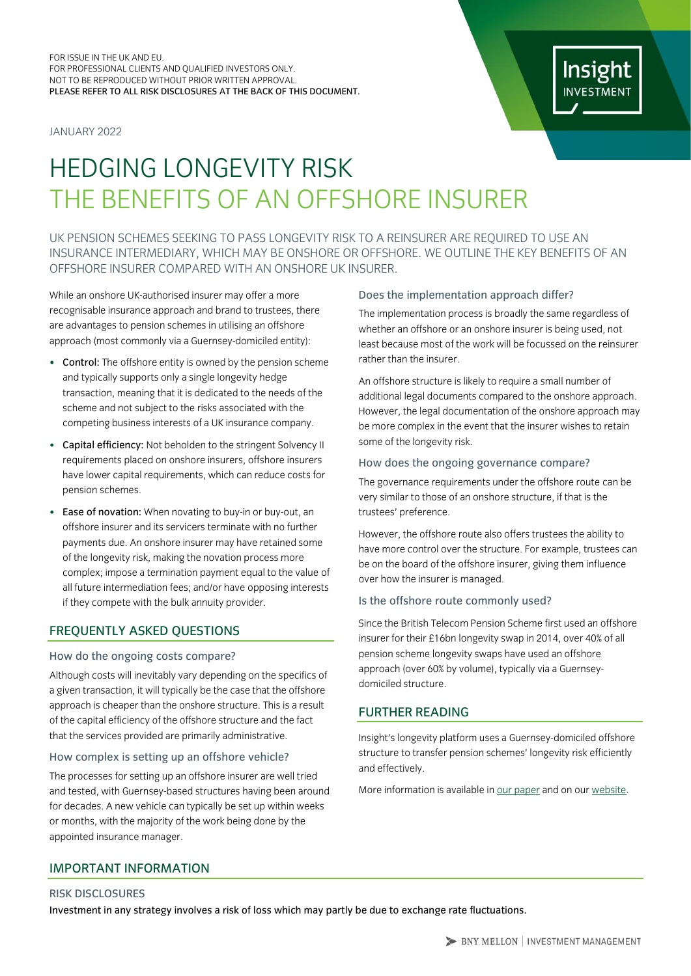JANUARY 2022



# HEDGING LONGEVITY RISK THE BENEFITS OF AN OFFSHORE INSURER

UK PENSION SCHEMES SEEKING TO PASS LONGEVITY RISK TO A REINSURER ARE REQUIRED TO USE AN INSURANCE INTERMEDIARY, WHICH MAY BE ONSHORE OR OFFSHORE. WE OUTLINE THE KEY BENEFITS OF AN OFFSHORE INSURER COMPARED WITH AN ONSHORE UK INSURER.

While an onshore UK-authorised insurer may offer a more recognisable insurance approach and brand to trustees, there are advantages to pension schemes in utilising an offshore approach (most commonly via a Guernsey-domiciled entity):

- Control: The offshore entity is owned by the pension scheme and typically supports only a single longevity hedge transaction, meaning that it is dedicated to the needs of the scheme and not subject to the risks associated with the competing business interests of a UK insurance company.
- Capital efficiency: Not beholden to the stringent Solvency II requirements placed on onshore insurers, offshore insurers have lower capital requirements, which can reduce costs for pension schemes.
- Ease of novation: When novating to buy-in or buy-out, an offshore insurer and its servicers terminate with no further payments due. An onshore insurer may have retained some of the longevity risk, making the novation process more complex; impose a termination payment equal to the value of all future intermediation fees; and/or have opposing interests if they compete with the bulk annuity provider.

# FREQUENTLY ASKED QUESTIONS

## How do the ongoing costs compare?

Although costs will inevitably vary depending on the specifics of a given transaction, it will typically be the case that the offshore approach is cheaper than the onshore structure. This is a result of the capital efficiency of the offshore structure and the fact that the services provided are primarily administrative.

# How complex is setting up an offshore vehicle?

The processes for setting up an offshore insurer are well tried and tested, with Guernsey-based structures having been around for decades. A new vehicle can typically be set up within weeks or months, with the majority of the work being done by the appointed insurance manager.

# Does the implementation approach differ?

The implementation process is broadly the same regardless of whether an offshore or an onshore insurer is being used, not least because most of the work will be focussed on the reinsurer rather than the insurer.

An offshore structure is likely to require a small number of additional legal documents compared to the onshore approach. However, the legal documentation of the onshore approach may be more complex in the event that the insurer wishes to retain some of the longevity risk.

# How does the ongoing governance compare?

The governance requirements under the offshore route can be very similar to those of an onshore structure, if that is the trustees' preference.

However, the offshore route also offers trustees the ability to have more control over the structure. For example, trustees can be on the board of the offshore insurer, giving them influence over how the insurer is managed.

## Is the offshore route commonly used?

Since the British Telecom Pension Scheme first used an offshore insurer for their £16bn longevity swap in 2014, over 40% of all pension scheme longevity swaps have used an offshore approach (over 60% by volume), typically via a Guernseydomiciled structure.

# FURTHER READING

Insight's longevity platform uses a Guernsey-domiciled offshore structure to transfer pension schemes' longevity risk efficiently and effectively.

More information is available i[n our paper](https://www.insightinvestment.com/globalassets/documents/recent-thinking/uk_how-to-hedge-longevity-risk.pdf) and on our [website.](https://www.insightinvestment.com/uk/institutional-investors/investment-range/ldi/longevity-hedging/)

# IMPORTANT INFORMATION

## RISK DISCLOSURES

Investment in any strategy involves a risk of loss which may partly be due to exchange rate fluctuations.